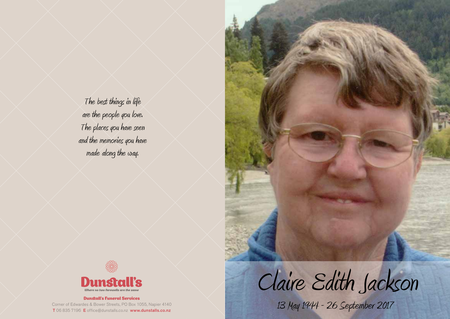The best things in life are the people you love. The places you have seen and the memories you have made along the way.





## Dunstall's Funeral Services

Corner of Edwardes & Bower Streets, PO Box 1055, Napier 4140 T 06 835 7196 E office@dunstalls.co.nz www.dunstalls.co.nz



13 May 1944 - 26 September 2017